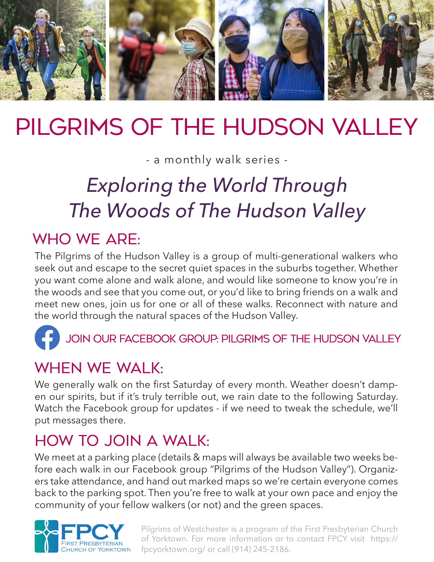

# PILGRIMS OF The HUdson Valley

- a monthly walk series -

# *Exploring the World Through The Woods of The Hudson Valley*

# WHO WF ARF:

The Pilgrims of the Hudson Valley is a group of multi-generational walkers who seek out and escape to the secret quiet spaces in the suburbs together. Whether you want come alone and walk alone, and would like someone to know you're in the woods and see that you come out, or you'd like to bring friends on a walk and meet new ones, join us for one or all of these walks. Reconnect with nature and the world through the natural spaces of the Hudson Valley.



Join our facebook group: Pilgrims of The Hudson ValLey

## WHEN WE WAI K:

We generally walk on the first Saturday of every month. Weather doesn't dampen our spirits, but if it's truly terrible out, we rain date to the following Saturday. Watch the Facebook group for updates - if we need to tweak the schedule, we'll put messages there.

## How to join a walk:

We meet at a parking place (details & maps will always be available two weeks before each walk in our Facebook group "Pilgrims of the Hudson Valley"). Organizers take attendance, and hand out marked maps so we're certain everyone comes back to the parking spot. Then you're free to walk at your own pace and enjoy the community of your fellow walkers (or not) and the green spaces.



Pilgrims of Westchester is a program of the First Presbyterian Church of Yorktown. For more information or to contact FPCY visit https:// fpcyorktown.org/ or call (914) 245-2186.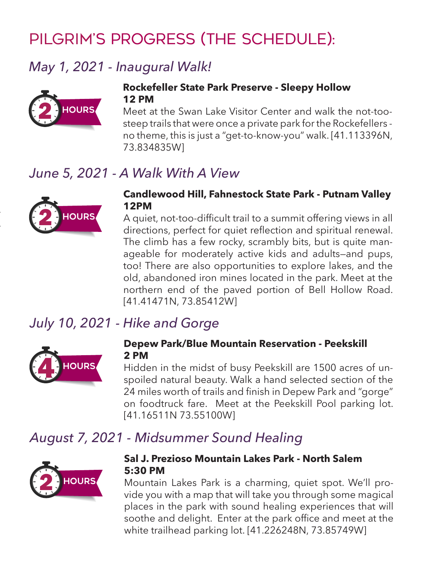# Pilgrim's progress (The schedule):

## *May 1, 2021 - Inaugural Walk!*



#### **Rockefeller State Park Preserve - Sleepy Hollow 12 PM**

Meet at the Swan Lake Visitor Center and walk the not-toosteep trails that were once a private park for the Rockefellers no theme, this is just a "get-to-know-you" walk. [41.113396N, 73.834835W]

## *June 5, 2021 - A Walk With A View*



duct waterfall. Continue on to the Briarcliff/Peekskill Trailway.

#### **Candlewood Hill, Fahnestock State Park - Putnam Valley 12PM**

A quiet, not-too-difficult trail to a summit offering views in all directions, perfect for quiet reflection and spiritual renewal. The climb has a few rocky, scrambly bits, but is quite manageable for moderately active kids and adults—and pups, too! There are also opportunities to explore lakes, and the old, abandoned iron mines located in the park. Meet at the northern end of the paved portion of Bell Hollow Road. [41.41471N, 73.85412W]

## *July 10, 2021 - Hike and Gorge*



#### **Depew Park/Blue Mountain Reservation - Peekskill 2 PM**

Hidden in the midst of busy Peekskill are 1500 acres of unspoiled natural beauty. Walk a hand selected section of the 24 miles worth of trails and finish in Depew Park and "gorge" on foodtruck fare. Meet at the Peekskill Pool parking lot. [41.16511N 73.55100W]

### *August 7, 2021 - Midsummer Sound Healing*



#### **Sal J. Prezioso Mountain Lakes Park - North Salem 5:30 PM**

Mountain Lakes Park is a charming, quiet spot. We'll provide you with a map that will take you through some magical places in the park with sound healing experiences that will soothe and delight. Enter at the park office and meet at the white trailhead parking lot. [41.226248N, 73.85749W]